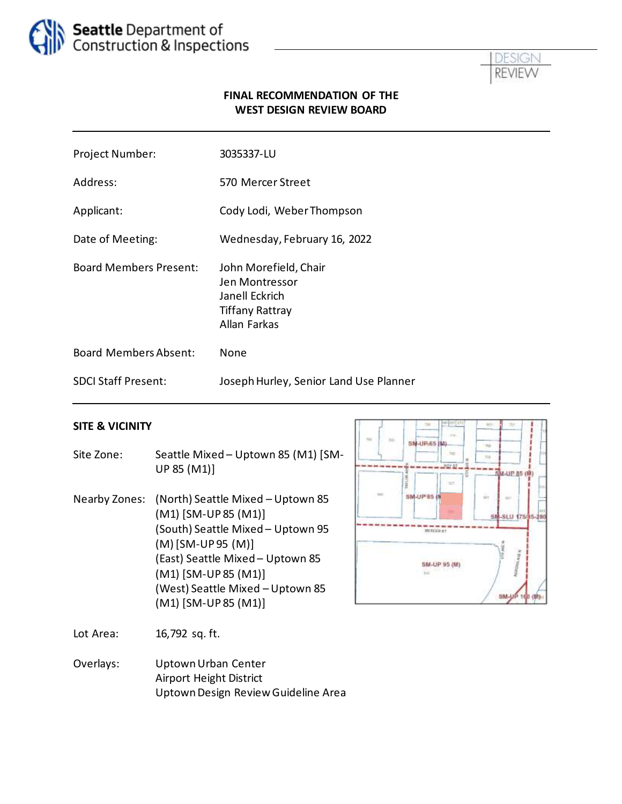



#### **FINAL RECOMMENDATION OF THE WEST DESIGN REVIEW BOARD**

| Project Number:               | 3035337-LU                                                                                          |
|-------------------------------|-----------------------------------------------------------------------------------------------------|
| Address:                      | 570 Mercer Street                                                                                   |
| Applicant:                    | Cody Lodi, Weber Thompson                                                                           |
| Date of Meeting:              | Wednesday, February 16, 2022                                                                        |
| <b>Board Members Present:</b> | John Morefield, Chair<br>Jen Montressor<br>Janell Eckrich<br><b>Tiffany Rattray</b><br>Allan Farkas |
| <b>Board Members Absent:</b>  | None                                                                                                |
| <b>SDCI Staff Present:</b>    | Joseph Hurley, Senior Land Use Planner                                                              |

#### **SITE & VICINITY**

- Site Zone: Seattle Mixed Uptown 85 (M1) [SM-UP 85 (M1)]
- Nearby Zones: (North) Seattle Mixed Uptown 85 (M1) [SM-UP 85 (M1)] (South) Seattle Mixed – Uptown 95 (M) [SM-UP 95 (M)] (East) Seattle Mixed – Uptown 85 (M1) [SM-UP 85 (M1)] (West) Seattle Mixed – Uptown 85 (M1) [SM-UP 85 (M1)]



Lot Area: 16,792 sq. ft.

Overlays: Uptown Urban Center Airport Height District Uptown Design Review Guideline Area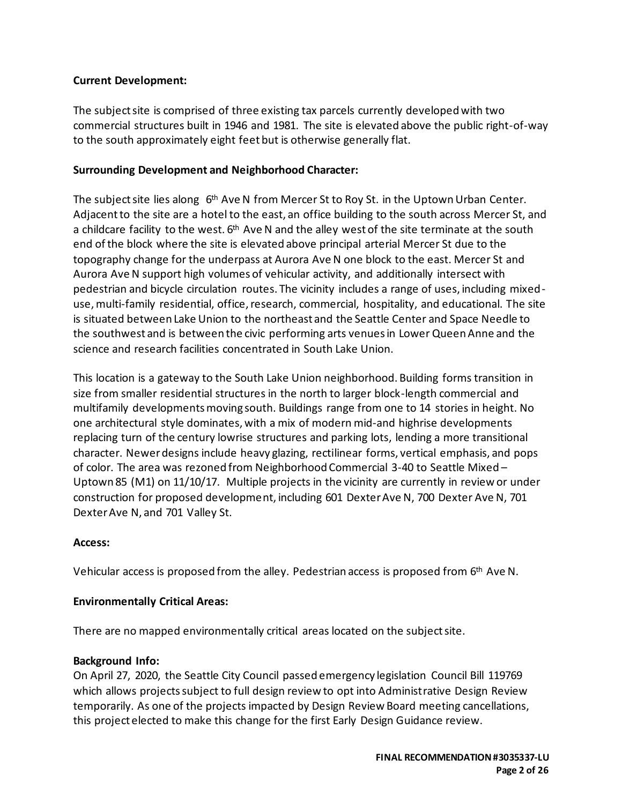#### **Current Development:**

The subject site is comprised of three existing tax parcels currently developed with two commercial structures built in 1946 and 1981. The site is elevated above the public right-of-way to the south approximately eight feet but is otherwise generally flat.

#### **Surrounding Development and Neighborhood Character:**

The subject site lies along 6<sup>th</sup> Ave N from Mercer St to Roy St. in the Uptown Urban Center. Adjacent to the site are a hotel to the east, an office building to the south across Mercer St, and a childcare facility to the west.  $6^{\text{th}}$  Ave N and the alley west of the site terminate at the south end of the block where the site is elevated above principal arterial Mercer St due to the topography change for the underpass at Aurora Ave N one block to the east. Mercer St and Aurora Ave N support high volumes of vehicular activity, and additionally intersect with pedestrian and bicycle circulation routes. The vicinity includes a range of uses, including mixeduse, multi-family residential, office, research, commercial, hospitality, and educational. The site is situated between Lake Union to the northeast and the Seattle Center and Space Needle to the southwest and is between the civic performing arts venues in Lower Queen Anne and the science and research facilities concentrated in South Lake Union.

This location is a gateway to the South Lake Union neighborhood. Building forms transition in size from smaller residential structures in the north to larger block-length commercial and multifamily developments moving south. Buildings range from one to 14 stories in height. No one architectural style dominates, with a mix of modern mid-and highrise developments replacing turn of the century lowrise structures and parking lots, lending a more transitional character. Newer designs include heavy glazing, rectilinear forms, vertical emphasis, and pops of color. The area was rezoned from Neighborhood Commercial 3-40 to Seattle Mixed – Uptown 85 (M1) on 11/10/17. Multiple projects in the vicinity are currently in review or under construction for proposed development, including 601 Dexter Ave N, 700 Dexter Ave N, 701 Dexter Ave N, and 701 Valley St.

#### **Access:**

Vehicular access is proposed from the alley. Pedestrian access is proposed from 6<sup>th</sup> Ave N.

#### **Environmentally Critical Areas:**

There are no mapped environmentally critical areas located on the subject site.

#### **Background Info:**

On April 27, 2020, the Seattle City Council passed emergency legislation [Council Bill 119769](http://seattle.legistar.com/LegislationDetail.aspx?ID=4412039&GUID=190D5862-8B41-486F-BFEE-F3CE7DDE6F00&Options=ID%7cText%7c&Search=119769&FullText=1) which allows projects subject to full design review to opt into Administrative Design Review temporarily. As one of the projects impacted by Design Review Board meeting cancellations, this project elected to make this change for the first Early Design Guidance review.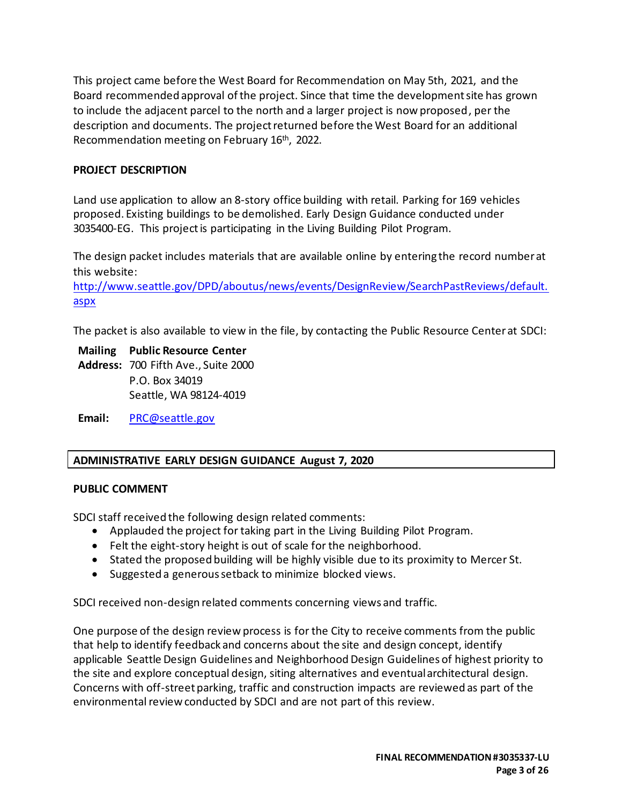This project came before the West Board for Recommendation on May 5th, 2021, and the Board recommended approval of the project. Since that time the development site has grown to include the adjacent parcel to the north and a larger project is now proposed, per the description and documents. The project returned before the West Board for an additional Recommendation meeting on February 16th, 2022.

### **PROJECT DESCRIPTION**

Land use application to allow an 8-story office building with retail. Parking for 169 vehicles proposed. Existing buildings to be demolished. Early Design Guidance conducted under 3035400-EG. This project is participating in the Living Building Pilot Program.

The design packet includes materials that are available online by entering the record number at this website:

[http://www.seattle.gov/DPD/aboutus/news/events/DesignReview/SearchPastReviews/default.](http://www.seattle.gov/DPD/aboutus/news/events/DesignReview/SearchPastReviews/default.aspx) [aspx](http://www.seattle.gov/DPD/aboutus/news/events/DesignReview/SearchPastReviews/default.aspx)

The packet is also available to view in the file, by contacting the Public Resource Center at SDCI:

**Mailing Public Resource Center Address:** 700 Fifth Ave., Suite 2000 P.O. Box 34019 Seattle, WA 98124-4019

**Email:** [PRC@seattle.gov](mailto:PRC@seattle.gov)

## **ADMINISTRATIVE EARLY DESIGN GUIDANCE August 7, 2020**

#### **PUBLIC COMMENT**

SDCI staff received the following design related comments:

- Applauded the project for taking part in the Living Building Pilot Program.
- Felt the eight-story height is out of scale for the neighborhood.
- Stated the proposed building will be highly visible due to its proximity to Mercer St.
- Suggested a generous setback to minimize blocked views.

SDCI received non-design related comments concerning views and traffic.

One purpose of the design review process is for the City to receive comments from the public that help to identify feedback and concerns about the site and design concept, identify applicable Seattle Design Guidelines and Neighborhood Design Guidelines of highest priority to the site and explore conceptual design, siting alternatives and eventual architectural design. Concerns with off-street parking, traffic and construction impacts are reviewed as part of the environmental review conducted by SDCI and are not part of this review.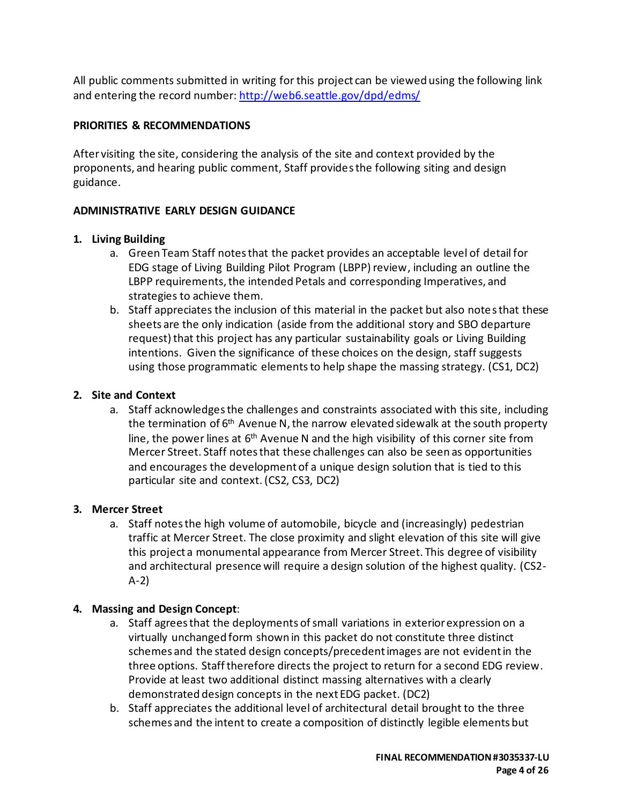All public comments submitted in writing for this project can be viewed using the following link and entering the record number[: http://web6.seattle.gov/dpd/edms/](http://web6.seattle.gov/dpd/edms/)

## **PRIORITIES & RECOMMENDATIONS**

After visiting the site, considering the analysis of the site and context provided by the proponents, and hearing public comment, Staff providesthe following siting and design guidance.

## **ADMINISTRATIVE EARLY DESIGN GUIDANCE**

# **1. Living Building**

- a. Green Team Staff notes that the packet provides an acceptable level of detail for EDG stage of Living Building Pilot Program (LBPP) review, including an outline the LBPP requirements, the intended Petals and corresponding Imperatives, and strategies to achieve them.
- b. Staff appreciates the inclusion of this material in the packet but also notesthat these sheets are the only indication (aside from the additional story and SBO departure request) that this project has any particular sustainability goals or Living Building intentions. Given the significance of these choices on the design, staff suggests using those programmatic elementsto help shape the massing strategy. (CS1, DC2)

# **2. Site and Context**

a. Staff acknowledgesthe challenges and constraints associated with this site, including the termination of  $6<sup>th</sup>$  Avenue N, the narrow elevated sidewalk at the south property line, the power lines at  $6<sup>th</sup>$  Avenue N and the high visibility of this corner site from Mercer Street. Staff notes that these challenges can also be seen as opportunities and encourages the development of a unique design solution that is tied to this particular site and context. (CS2, CS3, DC2)

## **3. Mercer Street**

a. Staff notesthe high volume of automobile, bicycle and (increasingly) pedestrian traffic at Mercer Street. The close proximity and slight elevation of this site will give this project a monumental appearance from Mercer Street. This degree of visibility and architectural presence will require a design solution of the highest quality. (CS2- A-2)

# **4. Massing and Design Concept**:

- a. Staff agrees that the deployments of small variations in exterior expression on a virtually unchanged form shown in this packet do not constitute three distinct schemes and the stated design concepts/precedent images are not evident in the three options. Staff therefore directs the project to return for a second EDG review. Provide at least two additional distinct massing alternatives with a clearly demonstrated design concepts in the next EDG packet. (DC2)
- b. Staff appreciates the additional level of architectural detail brought to the three schemes and the intent to create a composition of distinctly legible elements but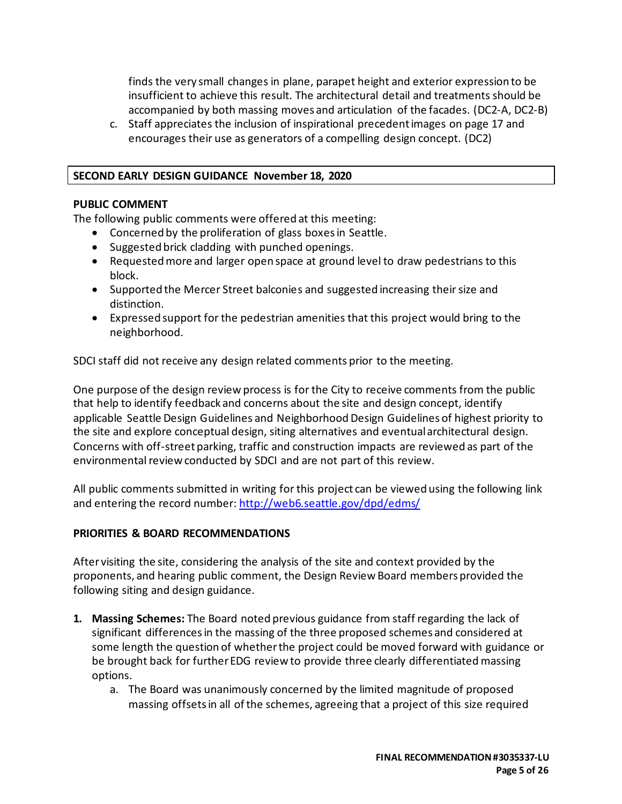finds the very small changes in plane, parapet height and exterior expression to be insufficient to achieve this result. The architectural detail and treatments should be accompanied by both massing moves and articulation of the facades. (DC2-A, DC2-B)

c. Staff appreciates the inclusion of inspirational precedent images on page 17 and encourages their use as generators of a compelling design concept. (DC2)

#### **SECOND EARLY DESIGN GUIDANCE November 18, 2020**

#### **PUBLIC COMMENT**

The following public comments were offered at this meeting:

- Concerned by the proliferation of glass boxes in Seattle.
- Suggested brick cladding with punched openings.
- Requested more and larger open space at ground level to draw pedestrians to this block.
- Supported the Mercer Street balconies and suggested increasing their size and distinction.
- Expressed support for the pedestrian amenities that this project would bring to the neighborhood.

SDCI staff did not receive any design related comments prior to the meeting.

One purpose of the design review process is for the City to receive comments from the public that help to identify feedback and concerns about the site and design concept, identify applicable Seattle Design Guidelines and Neighborhood Design Guidelines of highest priority to the site and explore conceptual design, siting alternatives and eventual architectural design. Concerns with off-street parking, traffic and construction impacts are reviewed as part of the environmental review conducted by SDCI and are not part of this review.

All public comments submitted in writing for this project can be viewed using the following link and entering the record number[: http://web6.seattle.gov/dpd/edms/](http://web6.seattle.gov/dpd/edms/)

## **PRIORITIES & BOARD RECOMMENDATIONS**

After visiting the site, considering the analysis of the site and context provided by the proponents, and hearing public comment, the Design Review Board members provided the following siting and design guidance.

- **1. Massing Schemes:** The Board noted previous guidance from staff regarding the lack of significant differences in the massing of the three proposed schemes and considered at some length the question of whether the project could be moved forward with guidance or be brought back for further EDG review to provide three clearly differentiated massing options.
	- a. The Board was unanimously concerned by the limited magnitude of proposed massing offsets in all of the schemes, agreeing that a project of this size required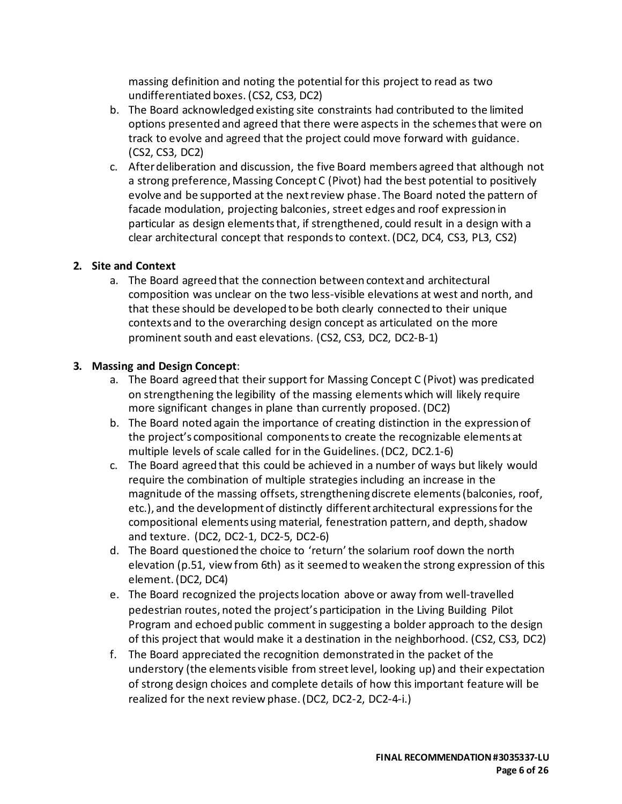massing definition and noting the potential for this project to read as two undifferentiated boxes. (CS2, CS3, DC2)

- b. The Board acknowledged existing site constraints had contributed to the limited options presented and agreed that there were aspects in the schemes that were on track to evolve and agreed that the project could move forward with guidance. (CS2, CS3, DC2)
- c. After deliberation and discussion, the five Board members agreed that although not a strong preference, Massing Concept C (Pivot) had the best potential to positively evolve and be supported at the next review phase. The Board noted the pattern of facade modulation, projecting balconies, street edges and roof expression in particular as design elements that, if strengthened, could result in a design with a clear architectural concept that respondsto context. (DC2, DC4, CS3, PL3, CS2)

#### **2. Site and Context**

a. The Board agreed that the connection between context and architectural composition was unclear on the two less-visible elevations at west and north, and that these should be developed to be both clearly connected to their unique contexts and to the overarching design concept as articulated on the more prominent south and east elevations. (CS2, CS3, DC2, DC2-B-1)

#### **3. Massing and Design Concept**:

- a. The Board agreed that their support for Massing Concept C (Pivot) was predicated on strengthening the legibility of the massing elements which will likely require more significant changes in plane than currently proposed. (DC2)
- b. The Board noted again the importance of creating distinction in the expression of the project's compositional componentsto create the recognizable elements at multiple levels of scale called for in the Guidelines. (DC2, DC2.1-6)
- c. The Board agreed that this could be achieved in a number of ways but likely would require the combination of multiple strategies including an increase in the magnitude of the massing offsets, strengthening discrete elements (balconies, roof, etc.), and the development of distinctly different architectural expressions for the compositional elements using material, fenestration pattern, and depth, shadow and texture. (DC2, DC2-1, DC2-5, DC2-6)
- d. The Board questioned the choice to 'return'the solarium roof down the north elevation (p.51, view from 6th) as it seemed to weaken the strong expression of this element. (DC2, DC4)
- e. The Board recognized the projects location above or away from well-travelled pedestrian routes, noted the project's participation in the Living Building Pilot Program and echoed public comment in suggesting a bolder approach to the design of this project that would make it a destination in the neighborhood. (CS2, CS3, DC2)
- f. The Board appreciated the recognition demonstrated in the packet of the understory (the elements visible from street level, looking up) and their expectation of strong design choices and complete details of how this important feature will be realized for the next review phase. (DC2, DC2-2, DC2-4-i.)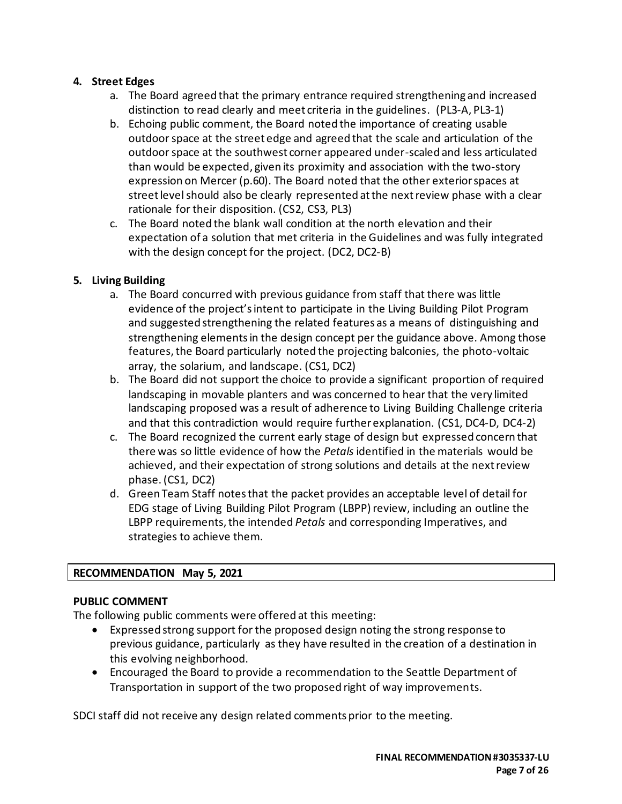## **4. Street Edges**

- a. The Board agreed that the primary entrance required strengthening and increased distinction to read clearly and meet criteria in the guidelines. (PL3-A, PL3-1)
- b. Echoing public comment, the Board noted the importance of creating usable outdoor space at the street edge and agreed that the scale and articulation of the outdoor space at the southwest corner appeared under-scaled and less articulated than would be expected, given its proximity and association with the two-story expression on Mercer (p.60). The Board noted that the other exterior spaces at street level should also be clearly represented at the next review phase with a clear rationale for their disposition. (CS2, CS3, PL3)
- c. The Board noted the blank wall condition at the north elevation and their expectation of a solution that met criteria in the Guidelines and was fully integrated with the design concept for the project. (DC2, DC2-B)

# **5. Living Building**

- a. The Board concurred with previous guidance from staff that there was little evidence of the project's intent to participate in the Living Building Pilot Program and suggested strengthening the related features as a means of distinguishing and strengthening elements in the design concept per the guidance above. Among those features, the Board particularly noted the projecting balconies, the photo-voltaic array, the solarium, and landscape. (CS1, DC2)
- b. The Board did not support the choice to provide a significant proportion of required landscaping in movable planters and was concerned to hear that the very limited landscaping proposed was a result of adherence to Living Building Challenge criteria and that this contradiction would require further explanation. (CS1, DC4-D, DC4-2)
- c. The Board recognized the current early stage of design but expressed concern that there was so little evidence of how the *Petals* identified in the materials would be achieved, and their expectation of strong solutions and details at the next review phase. (CS1, DC2)
- d. Green Team Staff notes that the packet provides an acceptable level of detail for EDG stage of Living Building Pilot Program (LBPP) review, including an outline the LBPP requirements, the intended *Petals* and corresponding Imperatives, and strategies to achieve them.

## **RECOMMENDATION May 5, 2021**

## **PUBLIC COMMENT**

The following public comments were offered at this meeting:

- Expressed strong support for the proposed design noting the strong response to previous guidance, particularly as they have resulted in the creation of a destination in this evolving neighborhood.
- Encouraged the Board to provide a recommendation to the Seattle Department of Transportation in support of the two proposed right of way improvements.

SDCI staff did not receive any design related comments prior to the meeting.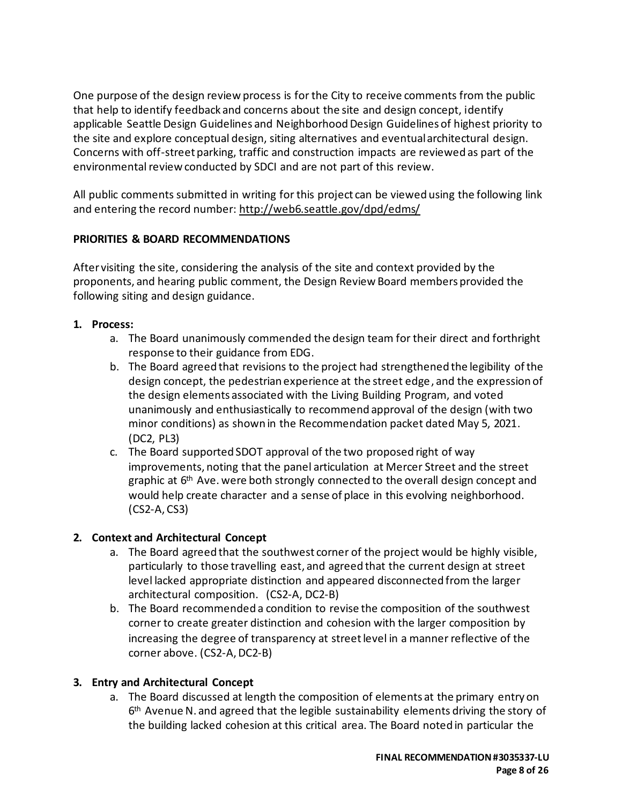One purpose of the design review process is for the City to receive comments from the public that help to identify feedback and concerns about the site and design concept, identify applicable Seattle Design Guidelines and Neighborhood Design Guidelines of highest priority to the site and explore conceptual design, siting alternatives and eventual architectural design. Concerns with off-street parking, traffic and construction impacts are reviewed as part of the environmental review conducted by SDCI and are not part of this review.

All public comments submitted in writing for this project can be viewed using the following link and entering the record number:<http://web6.seattle.gov/dpd/edms/>

## **PRIORITIES & BOARD RECOMMENDATIONS**

After visiting the site, considering the analysis of the site and context provided by the proponents, and hearing public comment, the Design Review Board members provided the following siting and design guidance.

- **1. Process:** 
	- a. The Board unanimously commended the design team for their direct and forthright response to their guidance from EDG.
	- b. The Board agreed that revisions to the project had strengthened the legibility of the design concept, the pedestrian experience at the street edge, and the expression of the design elements associated with the Living Building Program, and voted unanimously and enthusiastically to recommend approval of the design (with two minor conditions) as shown in the Recommendation packet dated May 5, 2021. (DC2, PL3)
	- c. The Board supported SDOT approval of the two proposed right of way improvements, noting that the panel articulation at Mercer Street and the street graphic at 6<sup>th</sup> Ave. were both strongly connected to the overall design concept and would help create character and a sense of place in this evolving neighborhood. (CS2-A, CS3)

# **2. Context and Architectural Concept**

- a. The Board agreed that the southwest corner of the project would be highly visible, particularly to those travelling east, and agreed that the current design at street level lacked appropriate distinction and appeared disconnected from the larger architectural composition. (CS2-A, DC2-B)
- b. The Board recommended a condition to revise the composition of the southwest corner to create greater distinction and cohesion with the larger composition by increasing the degree of transparency at street level in a manner reflective of the corner above. (CS2-A, DC2-B)

# **3. Entry and Architectural Concept**

a. The Board discussed at length the composition of elements at the primary entry on 6<sup>th</sup> Avenue N. and agreed that the legible sustainability elements driving the story of the building lacked cohesion at this critical area. The Board noted in particular the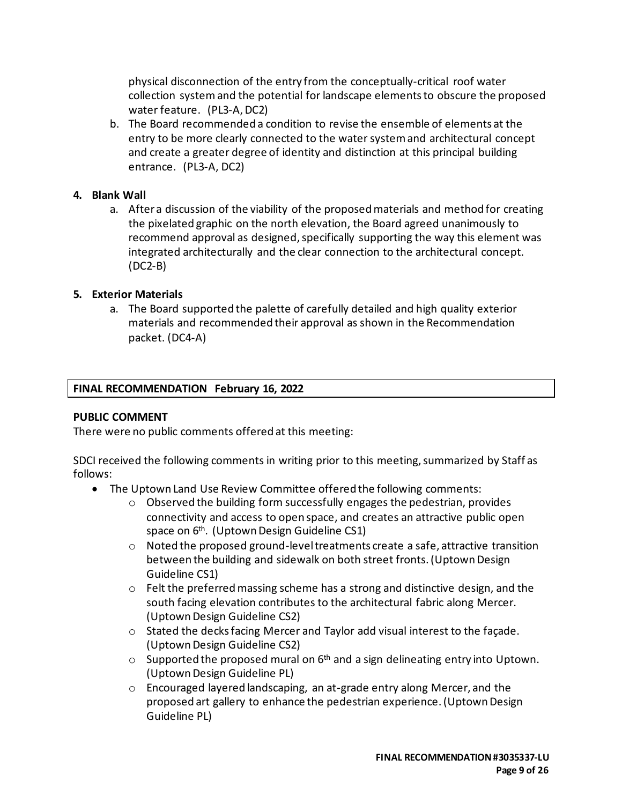physical disconnection of the entry from the conceptually-critical roof water collection systemand the potential for landscape elements to obscure the proposed water feature. (PL3-A, DC2)

b. The Board recommended a condition to revise the ensemble of elements at the entry to be more clearly connected to the water system and architectural concept and create a greater degree of identity and distinction at this principal building entrance. (PL3-A, DC2)

#### **4. Blank Wall**

a. After a discussion of the viability of the proposed materials and method for creating the pixelated graphic on the north elevation, the Board agreed unanimously to recommend approval as designed, specifically supporting the way this element was integrated architecturally and the clear connection to the architectural concept. (DC2-B)

#### **5. Exterior Materials**

a. The Board supported the palette of carefully detailed and high quality exterior materials and recommended their approval as shown in the Recommendation packet. (DC4-A)

#### **FINAL RECOMMENDATION February 16, 2022**

#### **PUBLIC COMMENT**

There were no public comments offered at this meeting:

SDCI received the following comments in writing prior to this meeting, summarized by Staff as follows:

- The Uptown Land Use Review Committee offered the following comments:
	- o Observed the building form successfully engages the pedestrian, provides connectivity and access to open space, and creates an attractive public open space on 6<sup>th</sup>. (Uptown Design Guideline CS1)
	- $\circ$  Noted the proposed ground-level treatments create a safe, attractive transition between the building and sidewalk on both street fronts. (Uptown Design Guideline CS1)
	- $\circ$  Felt the preferred massing scheme has a strong and distinctive design, and the south facing elevation contributes to the architectural fabric along Mercer. (Uptown Design Guideline CS2)
	- o Stated the decks facing Mercer and Taylor add visual interest to the façade. (Uptown Design Guideline CS2)
	- $\circ$  Supported the proposed mural on 6<sup>th</sup> and a sign delineating entry into Uptown. (Uptown Design Guideline PL)
	- o Encouraged layered landscaping, an at-grade entry along Mercer, and the proposed art gallery to enhance the pedestrian experience. (Uptown Design Guideline PL)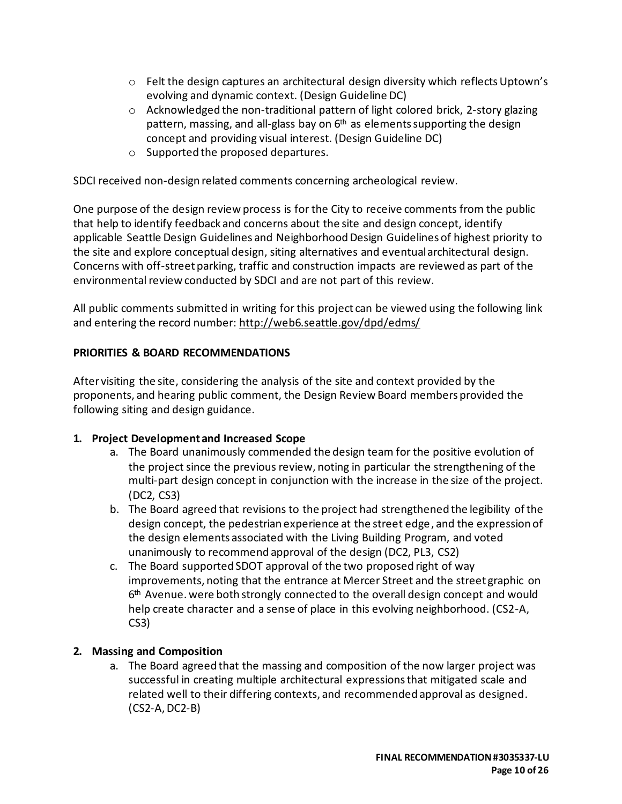- $\circ$  Felt the design captures an architectural design diversity which reflects Uptown's evolving and dynamic context. (Design Guideline DC)
- $\circ$  Acknowledged the non-traditional pattern of light colored brick, 2-story glazing pattern, massing, and all-glass bay on 6<sup>th</sup> as elements supporting the design concept and providing visual interest. (Design Guideline DC)
- o Supported the proposed departures.

SDCI received non-design related comments concerning archeological review.

One purpose of the design review process is for the City to receive comments from the public that help to identify feedback and concerns about the site and design concept, identify applicable Seattle Design Guidelines and Neighborhood Design Guidelines of highest priority to the site and explore conceptual design, siting alternatives and eventual architectural design. Concerns with off-street parking, traffic and construction impacts are reviewed as part of the environmental review conducted by SDCI and are not part of this review.

All public comments submitted in writing for this project can be viewed using the following link and entering the record number:<http://web6.seattle.gov/dpd/edms/>

## **PRIORITIES & BOARD RECOMMENDATIONS**

After visiting the site, considering the analysis of the site and context provided by the proponents, and hearing public comment, the Design Review Board members provided the following siting and design guidance.

## **1. Project Development and Increased Scope**

- a. The Board unanimously commended the design team for the positive evolution of the project since the previous review, noting in particular the strengthening of the multi-part design concept in conjunction with the increase in the size of the project. (DC2, CS3)
- b. The Board agreed that revisions to the project had strengthened the legibility of the design concept, the pedestrian experience at the street edge, and the expression of the design elements associated with the Living Building Program, and voted unanimously to recommend approval of the design (DC2, PL3, CS2)
- c. The Board supported SDOT approval of the two proposed right of way improvements, noting that the entrance at Mercer Street and the street graphic on 6<sup>th</sup> Avenue. were both strongly connected to the overall design concept and would help create character and a sense of place in this evolving neighborhood. (CS2-A, CS3)

# **2. Massing and Composition**

a. The Board agreed that the massing and composition of the now larger project was successful in creating multiple architectural expressions that mitigated scale and related well to their differing contexts, and recommended approval as designed. (CS2-A, DC2-B)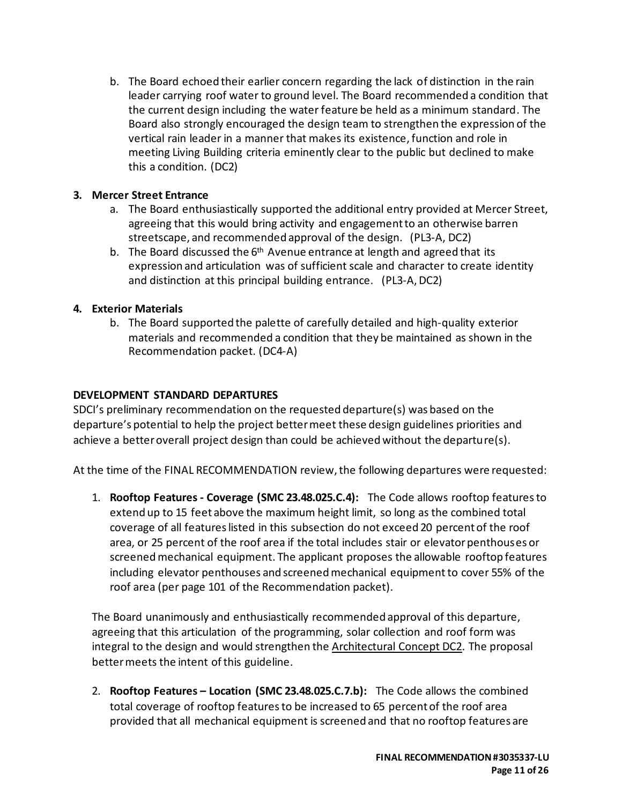b. The Board echoed their earlier concern regarding the lack of distinction in the rain leader carrying roof water to ground level. The Board recommended a condition that the current design including the water feature be held as a minimum standard. The Board also strongly encouraged the design team to strengthen the expression of the vertical rain leader in a manner that makes its existence, function and role in meeting Living Building criteria eminently clear to the public but declined to make this a condition. (DC2)

## **3. Mercer Street Entrance**

- a. The Board enthusiastically supported the additional entry provided at Mercer Street, agreeing that this would bring activity and engagement to an otherwise barren streetscape, and recommended approval of the design. (PL3-A, DC2)
- b. The Board discussed the  $6<sup>th</sup>$  Avenue entrance at length and agreed that its expression and articulation was of sufficient scale and character to create identity and distinction at this principal building entrance. (PL3-A, DC2)

#### **4. Exterior Materials**

b. The Board supported the palette of carefully detailed and high-quality exterior materials and recommended a condition that they be maintained as shown in the Recommendation packet. (DC4-A)

#### **DEVELOPMENT STANDARD DEPARTURES**

SDCI's preliminary recommendation on the requested departure(s) was based on the departure's potential to help the project better meet these design guidelines priorities and achieve a better overall project design than could be achieved without the departure(s).

At the time of the FINAL RECOMMENDATION review, the following departures were requested:

1. **Rooftop Features - Coverage (SMC 23.48.025.C.4):** The Code allows rooftop features to extend up to 15 feet above the maximum height limit, so long as the combined total coverage of all features listed in this subsection do not exceed 20 percent of the roof area, or 25 percent of the roof area if the total includes stair or elevator penthouses or screened mechanical equipment. The applicant proposes the allowable rooftop features including elevator penthouses and screened mechanical equipment to cover 55% of the roof area (per page 101 of the Recommendation packet).

The Board unanimously and enthusiastically recommended approval of this departure, agreeing that this articulation of the programming, solar collection and roof form was integral to the design and would strengthen the Architectural Concept DC2. The proposal better meets the intent of this guideline.

2. **Rooftop Features – Location (SMC 23.48.025.C.7.b):** The Code allows the combined total coverage of rooftop features to be increased to 65 percent of the roof area provided that all mechanical equipment is screened and that no rooftop features are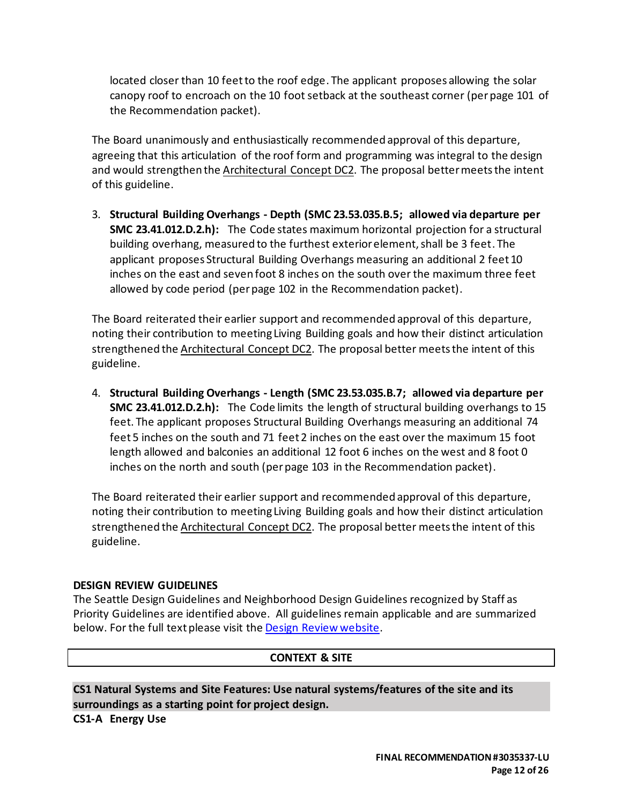located closer than 10 feet to the roof edge. The applicant proposes allowing the solar canopy roof to encroach on the 10 foot setback at the southeast corner (per page 101 of the Recommendation packet).

The Board unanimously and enthusiastically recommended approval of this departure, agreeing that this articulation of the roof form and programming was integral to the design and would strengthen the Architectural Concept DC2. The proposal better meets the intent of this guideline.

3. **Structural Building Overhangs - Depth (SMC 23.53.035.B.5; allowed via departure per SMC 23.41.012.D.2.h):** The Code states maximum horizontal projection for a structural building overhang, measured to the furthest exterior element, shall be 3 feet. The applicant proposes Structural Building Overhangs measuring an additional 2 feet 10 inches on the east and seven foot 8 inches on the south over the maximum three feet allowed by code period (perpage 102 in the Recommendation packet).

The Board reiterated their earlier support and recommended approval of this departure, noting their contribution to meeting Living Building goals and how their distinct articulation strengthened the Architectural Concept DC2. The proposal better meets the intent of this guideline.

4. **Structural Building Overhangs - Length (SMC 23.53.035.B.7; allowed via departure per SMC 23.41.012.D.2.h):** The Code limits the length of structural building overhangs to 15 feet. The applicant proposes Structural Building Overhangs measuring an additional 74 feet 5 inches on the south and 71 feet 2 inches on the east over the maximum 15 foot length allowed and balconies an additional 12 foot 6 inches on the west and 8 foot 0 inches on the north and south (per page 103 in the Recommendation packet).

The Board reiterated their earlier support and recommended approval of this departure, noting their contribution to meeting Living Building goals and how their distinct articulation strengthened the Architectural Concept DC2. The proposal better meets the intent of this guideline.

## **DESIGN REVIEW GUIDELINES**

The Seattle Design Guidelines and Neighborhood Design Guidelines recognized by Staff as Priority Guidelines are identified above. All guidelines remain applicable and are summarized below. For the full text please visit the [Design Review website.](https://www.seattle.gov/dpd/aboutus/whoweare/designreview/designguidelines/default.htm)

#### **CONTEXT & SITE**

**CS1 Natural Systems and Site Features: Use natural systems/features of the site and its surroundings as a starting point for project design. CS1-A Energy Use**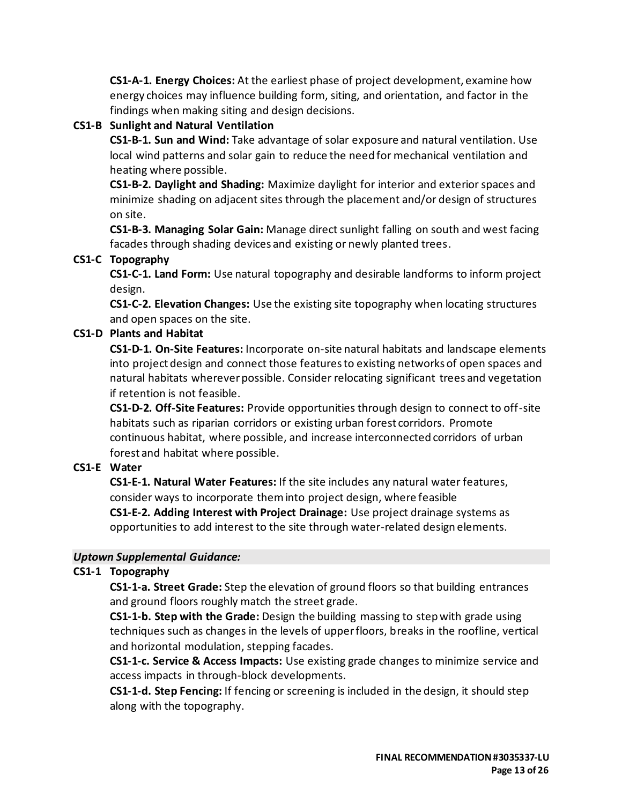**CS1-A-1. Energy Choices:** At the earliest phase of project development, examine how energy choices may influence building form, siting, and orientation, and factor in the findings when making siting and design decisions.

# **CS1-B Sunlight and Natural Ventilation**

**CS1-B-1. Sun and Wind:** Take advantage of solar exposure and natural ventilation. Use local wind patterns and solar gain to reduce the need for mechanical ventilation and heating where possible.

**CS1-B-2. Daylight and Shading:** Maximize daylight for interior and exterior spaces and minimize shading on adjacent sites through the placement and/or design of structures on site.

**CS1-B-3. Managing Solar Gain:** Manage direct sunlight falling on south and west facing facades through shading devices and existing or newly planted trees.

## **CS1-C Topography**

**CS1-C-1. Land Form:** Use natural topography and desirable landforms to inform project design.

**CS1-C-2. Elevation Changes:** Use the existing site topography when locating structures and open spaces on the site.

## **CS1-D Plants and Habitat**

**CS1-D-1. On-Site Features:** Incorporate on-site natural habitats and landscape elements into project design and connect those features to existing networks of open spaces and natural habitats wherever possible. Consider relocating significant trees and vegetation if retention is not feasible.

**CS1-D-2. Off-Site Features:** Provide opportunities through design to connect to off-site habitats such as riparian corridors or existing urban forest corridors. Promote continuous habitat, where possible, and increase interconnected corridors of urban forest and habitat where possible.

## **CS1-E Water**

**CS1-E-1. Natural Water Features:** If the site includes any natural water features, consider ways to incorporate them into project design, where feasible **CS1-E-2. Adding Interest with Project Drainage:** Use project drainage systems as opportunities to add interest to the site through water-related design elements.

## *Uptown Supplemental Guidance:*

# **CS1-1 Topography**

**CS1-1-a. Street Grade:** Step the elevation of ground floors so that building entrances and ground floors roughly match the street grade.

**CS1-1-b. Step with the Grade:** Design the building massing to step with grade using techniques such as changes in the levels of upper floors, breaks in the roofline, vertical and horizontal modulation, stepping facades.

**CS1-1-c. Service & Access Impacts:** Use existing grade changes to minimize service and access impacts in through-block developments.

**CS1-1-d. Step Fencing:** If fencing or screening is included in the design, it should step along with the topography.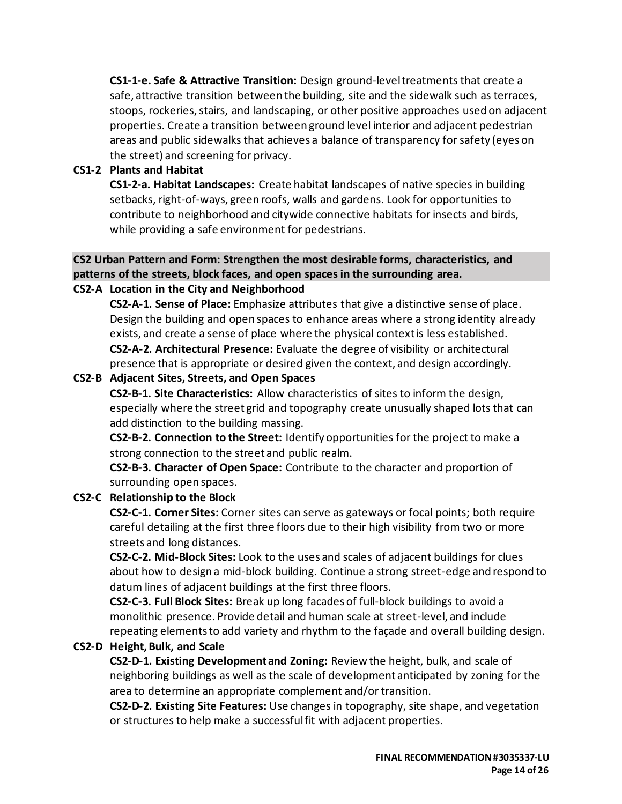**CS1-1-e. Safe & Attractive Transition:** Design ground-level treatments that create a safe, attractive transition between the building, site and the sidewalk such as terraces, stoops, rockeries, stairs, and landscaping, or other positive approaches used on adjacent properties. Create a transition between ground level interior and adjacent pedestrian areas and public sidewalks that achieves a balance of transparency for safety (eyes on the street) and screening for privacy.

## **CS1-2 Plants and Habitat**

**CS1-2-a. Habitat Landscapes:** Create habitat landscapes of native species in building setbacks, right-of-ways, green roofs, walls and gardens. Look for opportunities to contribute to neighborhood and citywide connective habitats for insects and birds, while providing a safe environment for pedestrians.

# **CS2 Urban Pattern and Form: Strengthen the most desirable forms, characteristics, and patterns of the streets, block faces, and open spaces in the surrounding area.**

# **CS2-A Location in the City and Neighborhood**

**CS2-A-1. Sense of Place:** Emphasize attributes that give a distinctive sense of place. Design the building and open spaces to enhance areas where a strong identity already exists, and create a sense of place where the physical context is less established. **CS2-A-2. Architectural Presence:** Evaluate the degree of visibility or architectural presence that is appropriate or desired given the context, and design accordingly.

# **CS2-B Adjacent Sites, Streets, and Open Spaces**

**CS2-B-1. Site Characteristics:** Allow characteristics of sites to inform the design, especially where the street grid and topography create unusually shaped lots that can add distinction to the building massing.

**CS2-B-2. Connection to the Street:** Identify opportunities for the project to make a strong connection to the street and public realm.

**CS2-B-3. Character of Open Space:** Contribute to the character and proportion of surrounding open spaces.

## **CS2-C Relationship to the Block**

**CS2-C-1. Corner Sites:** Corner sites can serve as gateways or focal points; both require careful detailing at the first three floors due to their high visibility from two or more streets and long distances.

**CS2-C-2. Mid-Block Sites:** Look to the uses and scales of adjacent buildings for clues about how to design a mid-block building. Continue a strong street-edge and respond to datum lines of adjacent buildings at the first three floors.

**CS2-C-3. Full Block Sites:** Break up long facades of full-block buildings to avoid a monolithic presence. Provide detail and human scale at street-level, and include repeating elements to add variety and rhythm to the façade and overall building design.

## **CS2-D Height, Bulk, and Scale**

**CS2-D-1. Existing Development and Zoning:** Review the height, bulk, and scale of neighboring buildings as well as the scale of development anticipated by zoning for the area to determine an appropriate complement and/or transition.

**CS2-D-2. Existing Site Features:** Use changes in topography, site shape, and vegetation or structures to help make a successful fit with adjacent properties.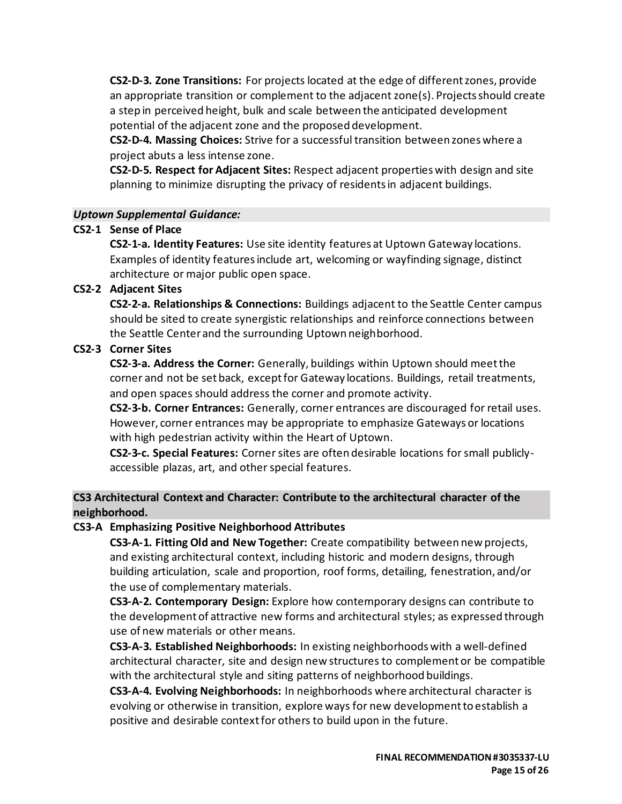**CS2-D-3. Zone Transitions:** For projects located at the edge of different zones, provide an appropriate transition or complement to the adjacent zone(s). Projects should create a step in perceived height, bulk and scale between the anticipated development potential of the adjacent zone and the proposed development.

**CS2-D-4. Massing Choices:** Strive for a successful transition between zones where a project abuts a less intense zone.

**CS2-D-5. Respect for Adjacent Sites:** Respect adjacent properties with design and site planning to minimize disrupting the privacy of residents in adjacent buildings.

#### *Uptown Supplemental Guidance:*

## **CS2-1 Sense of Place**

**CS2-1-a. Identity Features:** Use site identity features at Uptown Gateway locations. Examples of identity features include art, welcoming or wayfinding signage, distinct architecture or major public open space.

## **CS2-2 Adjacent Sites**

**CS2-2-a. Relationships & Connections:** Buildings adjacent to the Seattle Center campus should be sited to create synergistic relationships and reinforce connections between the Seattle Center and the surrounding Uptown neighborhood.

## **CS2-3 Corner Sites**

**CS2-3-a. Address the Corner:** Generally, buildings within Uptown should meet the corner and not be set back, except for Gateway locations. Buildings, retail treatments, and open spaces should address the corner and promote activity.

**CS2-3-b. Corner Entrances:** Generally, corner entrances are discouraged for retail uses. However, corner entrances may be appropriate to emphasize Gateways or locations with high pedestrian activity within the Heart of Uptown.

**CS2-3-c. Special Features:** Corner sites are often desirable locations for small publiclyaccessible plazas, art, and other special features.

# **CS3 Architectural Context and Character: Contribute to the architectural character of the neighborhood.**

## **CS3-A Emphasizing Positive Neighborhood Attributes**

**CS3-A-1. Fitting Old and New Together:** Create compatibility between new projects, and existing architectural context, including historic and modern designs, through building articulation, scale and proportion, roof forms, detailing, fenestration, and/or the use of complementary materials.

**CS3-A-2. Contemporary Design:** Explore how contemporary designs can contribute to the development of attractive new forms and architectural styles; as expressed through use of new materials or other means.

**CS3-A-3. Established Neighborhoods:** In existing neighborhoods with a well-defined architectural character, site and design new structures to complement or be compatible with the architectural style and siting patterns of neighborhood buildings.

**CS3-A-4. Evolving Neighborhoods:** In neighborhoods where architectural character is evolving or otherwise in transition, explore ways for new development to establish a positive and desirable context for others to build upon in the future.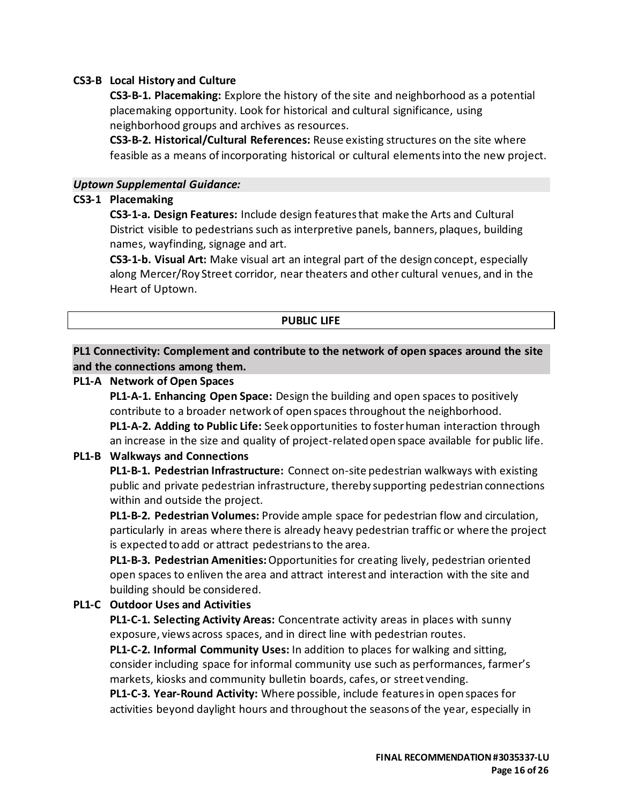#### **CS3-B Local History and Culture**

**CS3-B-1. Placemaking:** Explore the history of the site and neighborhood as a potential placemaking opportunity. Look for historical and cultural significance, using neighborhood groups and archives as resources.

**CS3-B-2. Historical/Cultural References:** Reuse existing structures on the site where feasible as a means of incorporating historical or cultural elements into the new project.

#### *Uptown Supplemental Guidance:*

#### **CS3-1 Placemaking**

**CS3-1-a. Design Features:** Include design features that make the Arts and Cultural District visible to pedestrians such as interpretive panels, banners, plaques, building names, wayfinding, signage and art.

**CS3-1-b. Visual Art:** Make visual art an integral part of the design concept, especially along Mercer/Roy Street corridor, near theaters and other cultural venues, and in the Heart of Uptown.

#### **PUBLIC LIFE**

## **PL1 Connectivity: Complement and contribute to the network of open spaces around the site and the connections among them.**

#### **PL1-A Network of Open Spaces**

**PL1-A-1. Enhancing Open Space:** Design the building and open spaces to positively contribute to a broader network of open spaces throughout the neighborhood. **PL1-A-2. Adding to Public Life:** Seek opportunities to foster human interaction through

an increase in the size and quality of project-related open space available for public life.

#### **PL1-B Walkways and Connections**

**PL1-B-1. Pedestrian Infrastructure:** Connect on-site pedestrian walkways with existing public and private pedestrian infrastructure, thereby supporting pedestrian connections within and outside the project.

**PL1-B-2. Pedestrian Volumes:** Provide ample space for pedestrian flow and circulation, particularly in areas where there is already heavy pedestrian traffic or where the project is expected to add or attract pedestrians to the area.

**PL1-B-3. Pedestrian Amenities:**Opportunities for creating lively, pedestrian oriented open spaces to enliven the area and attract interest and interaction with the site and building should be considered.

## **PL1-C Outdoor Uses and Activities**

**PL1-C-1. Selecting Activity Areas:** Concentrate activity areas in places with sunny exposure, views across spaces, and in direct line with pedestrian routes.

**PL1-C-2. Informal Community Uses:** In addition to places for walking and sitting, consider including space for informal community use such as performances, farmer's markets, kiosks and community bulletin boards, cafes, or street vending.

**PL1-C-3. Year-Round Activity:** Where possible, include features in open spaces for activities beyond daylight hours and throughout the seasons of the year, especially in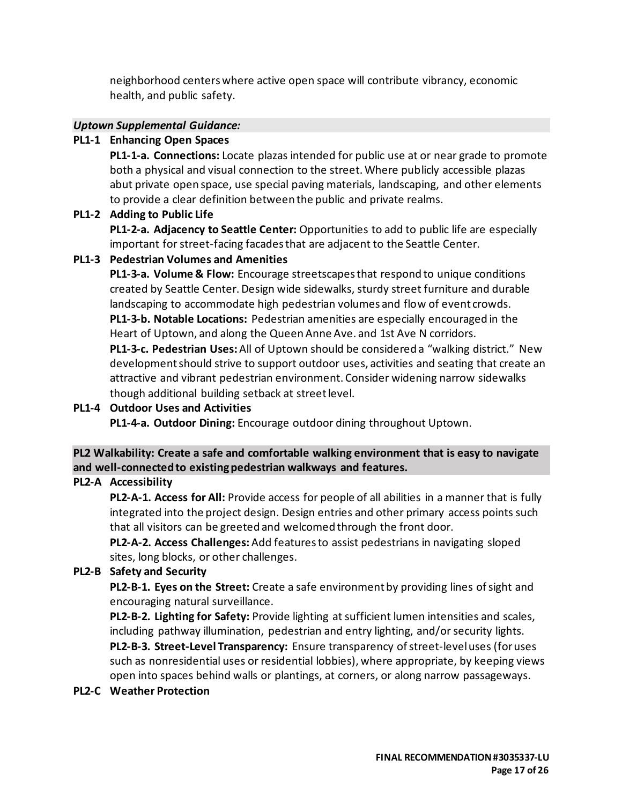neighborhood centers where active open space will contribute vibrancy, economic health, and public safety.

## *Uptown Supplemental Guidance:*

# **PL1-1 Enhancing Open Spaces**

**PL1-1-a. Connections:** Locate plazas intended for public use at or near grade to promote both a physical and visual connection to the street. Where publicly accessible plazas abut private open space, use special paving materials, landscaping, and other elements to provide a clear definition between the public and private realms.

# **PL1-2 Adding to Public Life**

**PL1-2-a. Adjacency to Seattle Center:** Opportunities to add to public life are especially important for street-facing facades that are adjacent to the Seattle Center.

# **PL1-3 Pedestrian Volumes and Amenities**

**PL1-3-a. Volume & Flow:** Encourage streetscapes that respond to unique conditions created by Seattle Center. Design wide sidewalks, sturdy street furniture and durable landscaping to accommodate high pedestrian volumes and flow of event crowds. **PL1-3-b. Notable Locations:** Pedestrian amenities are especially encouraged in the Heart of Uptown, and along the Queen Anne Ave. and 1st Ave N corridors.

**PL1-3-c. Pedestrian Uses:**All of Uptown should be considered a "walking district." New development should strive to support outdoor uses, activities and seating that create an attractive and vibrant pedestrian environment. Consider widening narrow sidewalks though additional building setback at street level.

# **PL1-4 Outdoor Uses and Activities**

**PL1-4-a. Outdoor Dining:** Encourage outdoor dining throughout Uptown.

# **PL2 Walkability: Create a safe and comfortable walking environment that is easy to navigate and well-connected to existing pedestrian walkways and features.**

# **PL2-A Accessibility**

**PL2-A-1. Access for All:** Provide access for people of all abilities in a manner that is fully integrated into the project design. Design entries and other primary access points such that all visitors can be greeted and welcomed through the front door.

**PL2-A-2. Access Challenges:**Add features to assist pedestrians in navigating sloped sites, long blocks, or other challenges.

# **PL2-B Safety and Security**

**PL2-B-1. Eyes on the Street:** Create a safe environment by providing lines of sight and encouraging natural surveillance.

**PL2-B-2. Lighting for Safety:** Provide lighting at sufficient lumen intensities and scales, including pathway illumination, pedestrian and entry lighting, and/or security lights. **PL2-B-3. Street-Level Transparency:** Ensure transparency of street-level uses (for uses such as nonresidential uses or residential lobbies), where appropriate, by keeping views open into spaces behind walls or plantings, at corners, or along narrow passageways.

## **PL2-C Weather Protection**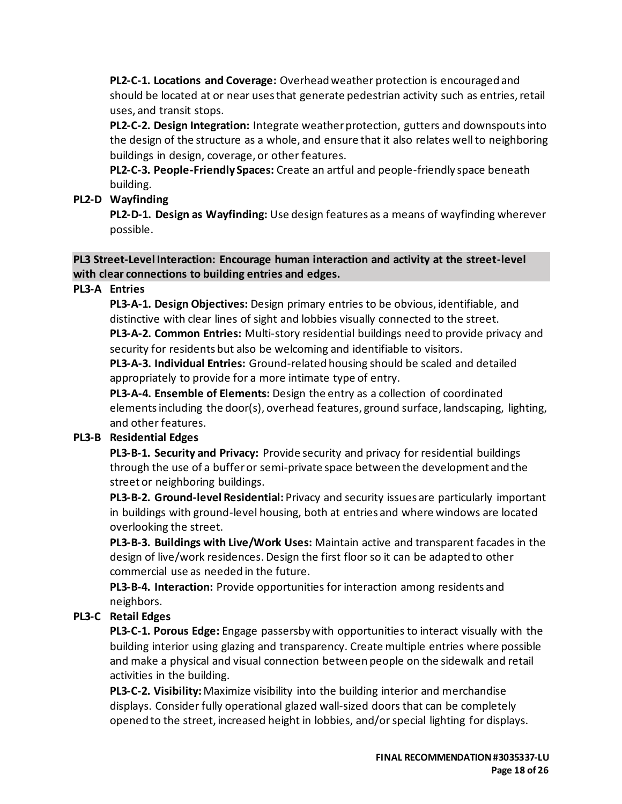**PL2-C-1. Locations and Coverage:** Overhead weather protection is encouraged and should be located at or near uses that generate pedestrian activity such as entries, retail uses, and transit stops.

**PL2-C-2. Design Integration:** Integrate weather protection, gutters and downspouts into the design of the structure as a whole, and ensure that it also relates well to neighboring buildings in design, coverage, or other features.

**PL2-C-3. People-Friendly Spaces:** Create an artful and people-friendly space beneath building.

# **PL2-D Wayfinding**

**PL2-D-1. Design as Wayfinding:** Use design features as a means of wayfinding wherever possible.

### **PL3 Street-Level Interaction: Encourage human interaction and activity at the street-level with clear connections to building entries and edges.**

# **PL3-A Entries**

**PL3-A-1. Design Objectives:** Design primary entries to be obvious, identifiable, and distinctive with clear lines of sight and lobbies visually connected to the street. **PL3-A-2. Common Entries:** Multi-story residential buildings need to provide privacy and

security for residents but also be welcoming and identifiable to visitors. **PL3-A-3. Individual Entries:** Ground-related housing should be scaled and detailed

appropriately to provide for a more intimate type of entry.

**PL3-A-4. Ensemble of Elements:** Design the entry as a collection of coordinated elementsincluding the door(s), overhead features, ground surface, landscaping, lighting, and other features.

## **PL3-B Residential Edges**

**PL3-B-1. Security and Privacy:** Provide security and privacy for residential buildings through the use of a buffer or semi-private space between the development and the street or neighboring buildings.

**PL3-B-2. Ground-level Residential:** Privacy and security issues are particularly important in buildings with ground-level housing, both at entries and where windows are located overlooking the street.

**PL3-B-3. Buildings with Live/Work Uses:** Maintain active and transparent facades in the design of live/work residences. Design the first floor so it can be adapted to other commercial use as needed in the future.

**PL3-B-4. Interaction:** Provide opportunities for interaction among residents and neighbors.

# **PL3-C Retail Edges**

**PL3-C-1. Porous Edge:** Engage passersby with opportunities to interact visually with the building interior using glazing and transparency. Create multiple entries where possible and make a physical and visual connection between people on the sidewalk and retail activities in the building.

**PL3-C-2. Visibility:**Maximize visibility into the building interior and merchandise displays. Consider fully operational glazed wall-sized doors that can be completely opened to the street, increased height in lobbies, and/or special lighting for displays.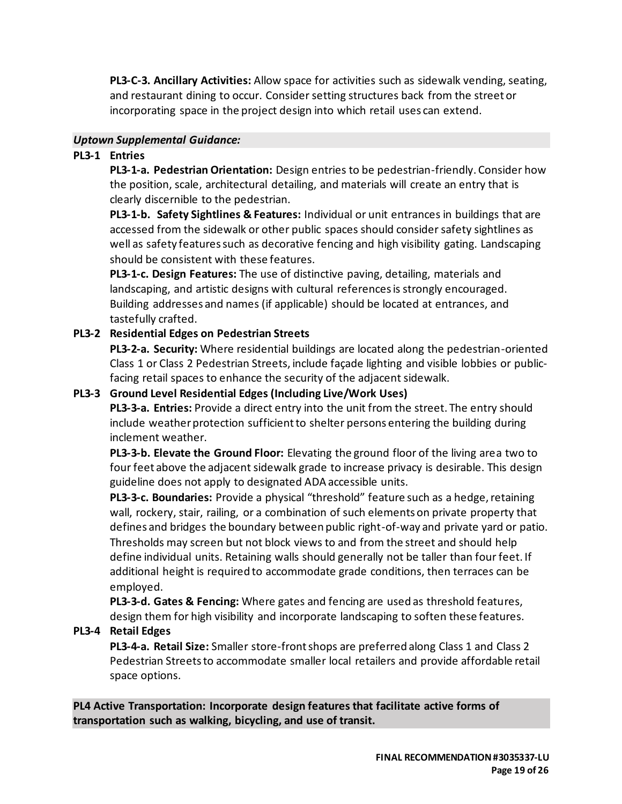**PL3-C-3. Ancillary Activities:** Allow space for activities such as sidewalk vending, seating, and restaurant dining to occur. Consider setting structures back from the street or incorporating space in the project design into which retail uses can extend.

#### *Uptown Supplemental Guidance:*

## **PL3-1 Entries**

**PL3-1-a. Pedestrian Orientation:** Design entries to be pedestrian-friendly. Consider how the position, scale, architectural detailing, and materials will create an entry that is clearly discernible to the pedestrian.

**PL3-1-b. Safety Sightlines & Features:** Individual or unit entrances in buildings that are accessed from the sidewalk or other public spaces should consider safety sightlines as well as safety features such as decorative fencing and high visibility gating. Landscaping should be consistent with these features.

**PL3-1-c. Design Features:** The use of distinctive paving, detailing, materials and landscaping, and artistic designs with cultural references is strongly encouraged. Building addresses and names (if applicable) should be located at entrances, and tastefully crafted.

# **PL3-2 Residential Edges on Pedestrian Streets**

**PL3-2-a. Security:** Where residential buildings are located along the pedestrian-oriented Class 1 or Class 2 Pedestrian Streets, include façade lighting and visible lobbies or publicfacing retail spaces to enhance the security of the adjacent sidewalk.

## **PL3-3 Ground Level Residential Edges (Including Live/Work Uses)**

**PL3-3-a. Entries:** Provide a direct entry into the unit from the street. The entry should include weather protection sufficient to shelter persons entering the building during inclement weather.

**PL3-3-b. Elevate the Ground Floor:** Elevating the ground floor of the living area two to four feet above the adjacent sidewalk grade to increase privacy is desirable. This design guideline does not apply to designated ADA accessible units.

**PL3-3-c. Boundaries:** Provide a physical "threshold" feature such as a hedge, retaining wall, rockery, stair, railing, or a combination of such elements on private property that defines and bridges the boundary between public right-of-way and private yard or patio. Thresholds may screen but not block views to and from the street and should help define individual units. Retaining walls should generally not be taller than four feet. If additional height is required to accommodate grade conditions, then terraces can be employed.

**PL3-3-d. Gates & Fencing:** Where gates and fencing are used as threshold features, design them for high visibility and incorporate landscaping to soften these features.

## **PL3-4 Retail Edges**

**PL3-4-a. Retail Size:** Smaller store-front shops are preferred along Class 1 and Class 2 Pedestrian Streets to accommodate smaller local retailers and provide affordable retail space options.

**PL4 Active Transportation: Incorporate design features that facilitate active forms of transportation such as walking, bicycling, and use of transit.**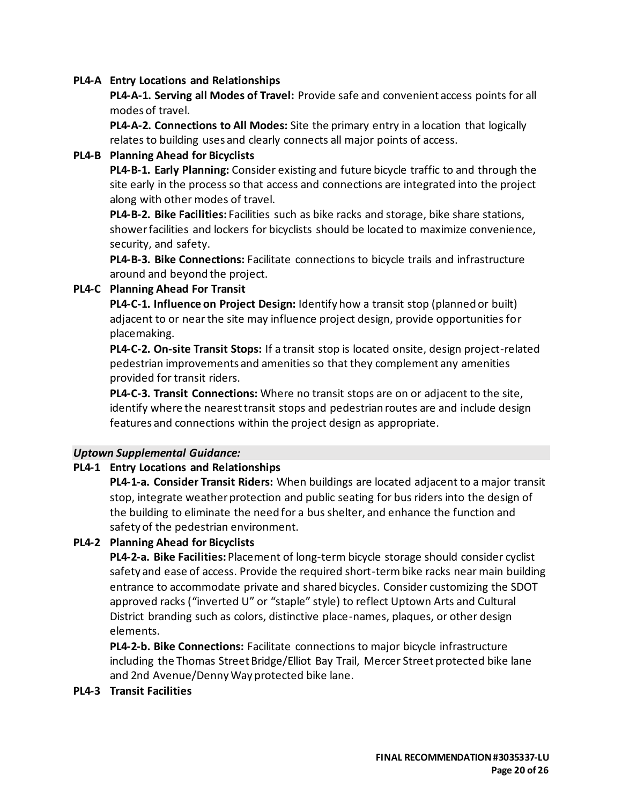#### **PL4-A Entry Locations and Relationships**

**PL4-A-1. Serving all Modes of Travel:** Provide safe and convenient access points for all modes of travel.

**PL4-A-2. Connections to All Modes:** Site the primary entry in a location that logically relates to building uses and clearly connects all major points of access.

#### **PL4-B Planning Ahead for Bicyclists**

**PL4-B-1. Early Planning:** Consider existing and future bicycle traffic to and through the site early in the process so that access and connections are integrated into the project along with other modes of travel.

**PL4-B-2. Bike Facilities:** Facilities such as bike racks and storage, bike share stations, showerfacilities and lockers for bicyclists should be located to maximize convenience, security, and safety.

**PL4-B-3. Bike Connections:** Facilitate connections to bicycle trails and infrastructure around and beyond the project.

#### **PL4-C Planning Ahead For Transit**

**PL4-C-1. Influence on Project Design:** Identify how a transit stop (planned or built) adjacent to or near the site may influence project design, provide opportunities for placemaking.

**PL4-C-2. On-site Transit Stops:** If a transit stop is located onsite, design project-related pedestrian improvements and amenities so that they complement any amenities provided for transit riders.

**PL4-C-3. Transit Connections:** Where no transit stops are on or adjacent to the site, identify where the nearest transit stops and pedestrian routes are and include design features and connections within the project design as appropriate.

#### *Uptown Supplemental Guidance:*

## **PL4-1 Entry Locations and Relationships**

**PL4-1-a. Consider Transit Riders:** When buildings are located adjacent to a major transit stop, integrate weather protection and public seating for bus riders into the design of the building to eliminate the need for a bus shelter, and enhance the function and safety of the pedestrian environment.

## **PL4-2 Planning Ahead for Bicyclists**

**PL4-2-a. Bike Facilities:**Placement of long-term bicycle storage should consider cyclist safety and ease of access. Provide the required short-term bike racks near main building entrance to accommodate private and shared bicycles. Consider customizing the SDOT approved racks ("inverted U" or "staple" style) to reflect Uptown Arts and Cultural District branding such as colors, distinctive place-names, plaques, or other design elements.

**PL4-2-b. Bike Connections:** Facilitate connections to major bicycle infrastructure including the Thomas Street Bridge/Elliot Bay Trail, Mercer Street protected bike lane and 2nd Avenue/Denny Way protected bike lane.

#### **PL4-3 Transit Facilities**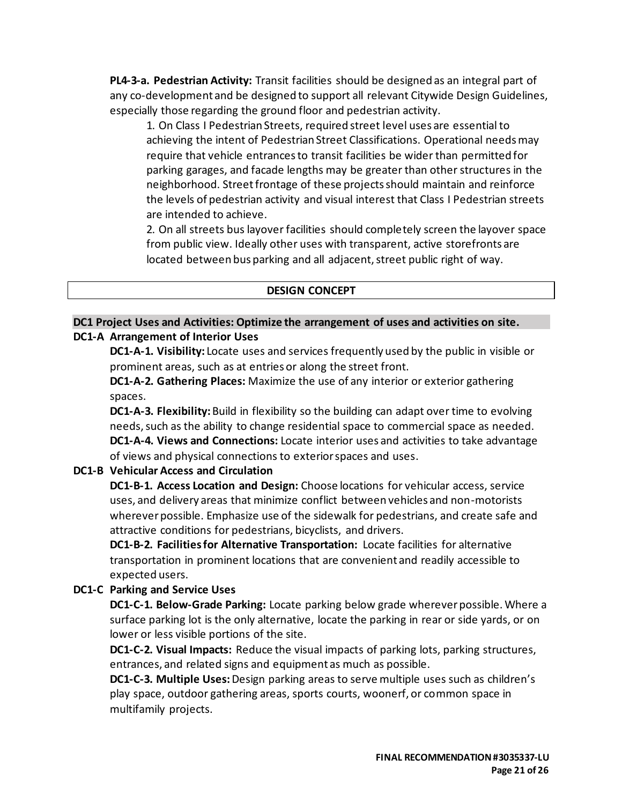**PL4-3-a. Pedestrian Activity:** Transit facilities should be designed as an integral part of any co-development and be designed to support all relevant Citywide Design Guidelines, especially those regarding the ground floor and pedestrian activity.

1. On Class I Pedestrian Streets, required street level uses are essential to achieving the intent of Pedestrian Street Classifications. Operational needs may require that vehicle entrances to transit facilities be wider than permitted for parking garages, and facade lengths may be greater than other structures in the neighborhood. Street frontage of these projects should maintain and reinforce the levels of pedestrian activity and visual interest that Class I Pedestrian streets are intended to achieve.

2. On all streets bus layover facilities should completely screen the layover space from public view. Ideally other uses with transparent, active storefronts are located between bus parking and all adjacent, street public right of way.

#### **DESIGN CONCEPT**

#### **DC1 Project Uses and Activities: Optimize the arrangement of uses and activities on site. DC1-A Arrangement of Interior Uses**

**DC1-A-1. Visibility:** Locate uses and services frequently used by the public in visible or prominent areas, such as at entries or along the street front.

**DC1-A-2. Gathering Places:** Maximize the use of any interior or exterior gathering spaces.

**DC1-A-3. Flexibility:** Build in flexibility so the building can adapt over time to evolving needs, such as the ability to change residential space to commercial space as needed. **DC1-A-4. Views and Connections:** Locate interior uses and activities to take advantage of views and physical connections to exterior spaces and uses.

#### **DC1-B Vehicular Access and Circulation**

**DC1-B-1. Access Location and Design:** Choose locations for vehicular access, service uses, and delivery areas that minimize conflict between vehicles and non-motorists wherever possible. Emphasize use of the sidewalk for pedestrians, and create safe and attractive conditions for pedestrians, bicyclists, and drivers.

**DC1-B-2. Facilities for Alternative Transportation:** Locate facilities for alternative transportation in prominent locations that are convenient and readily accessible to expected users.

## **DC1-C Parking and Service Uses**

**DC1-C-1. Below-Grade Parking:** Locate parking below grade wherever possible. Where a surface parking lot is the only alternative, locate the parking in rear or side yards, or on lower or less visible portions of the site.

**DC1-C-2. Visual Impacts:** Reduce the visual impacts of parking lots, parking structures, entrances, and related signs and equipment as much as possible.

**DC1-C-3. Multiple Uses:** Design parking areas to serve multiple uses such as children's play space, outdoor gathering areas, sports courts, woonerf, or common space in multifamily projects.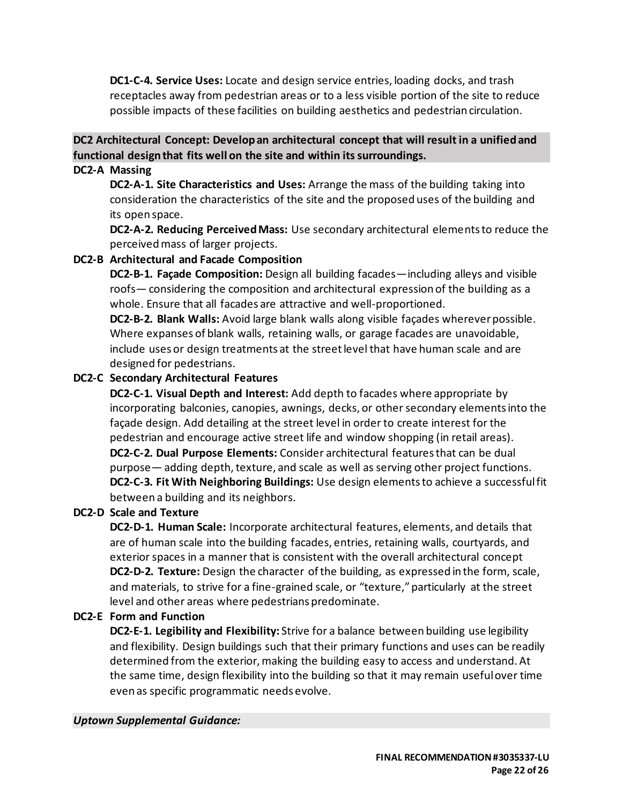**DC1-C-4. Service Uses:** Locate and design service entries, loading docks, and trash receptacles away from pedestrian areas or to a less visible portion of the site to reduce possible impacts of these facilities on building aesthetics and pedestrian circulation.

# **DC2 Architectural Concept: Develop an architectural concept that will result in a unified and functional design that fits well on the site and within its surroundings.**

## **DC2-A Massing**

**DC2-A-1. Site Characteristics and Uses:** Arrange the mass of the building taking into consideration the characteristics of the site and the proposed uses of the building and its open space.

**DC2-A-2. Reducing Perceived Mass:** Use secondary architectural elements to reduce the perceived mass of larger projects.

# **DC2-B Architectural and Facade Composition**

**DC2-B-1. Façade Composition:** Design all building facades—including alleys and visible roofs— considering the composition and architectural expression of the building as a whole. Ensure that all facades are attractive and well-proportioned.

**DC2-B-2. Blank Walls:** Avoid large blank walls along visible façades wherever possible. Where expanses of blank walls, retaining walls, or garage facades are unavoidable, include uses or design treatments at the street level that have human scale and are designed for pedestrians.

# **DC2-C Secondary Architectural Features**

**DC2-C-1. Visual Depth and Interest:** Add depth to facades where appropriate by incorporating balconies, canopies, awnings, decks, or other secondary elements into the façade design. Add detailing at the street level in order to create interest for the pedestrian and encourage active street life and window shopping (in retail areas). **DC2-C-2. Dual Purpose Elements:** Consider architectural features that can be dual purpose— adding depth, texture, and scale as well as serving other project functions. **DC2-C-3. Fit With Neighboring Buildings:** Use design elements to achieve a successful fit between a building and its neighbors.

## **DC2-D Scale and Texture**

**DC2-D-1. Human Scale:** Incorporate architectural features, elements, and details that are of human scale into the building facades, entries, retaining walls, courtyards, and exterior spaces in a manner that is consistent with the overall architectural concept **DC2-D-2. Texture:** Design the character of the building, as expressed in the form, scale, and materials, to strive for a fine-grained scale, or "texture," particularly at the street level and other areas where pedestrians predominate.

# **DC2-E Form and Function**

**DC2-E-1. Legibility and Flexibility:** Strive for a balance between building use legibility and flexibility. Design buildings such that their primary functions and uses can be readily determined from the exterior, making the building easy to access and understand. At the same time, design flexibility into the building so that it may remain useful over time even as specific programmatic needs evolve.

## *Uptown Supplemental Guidance:*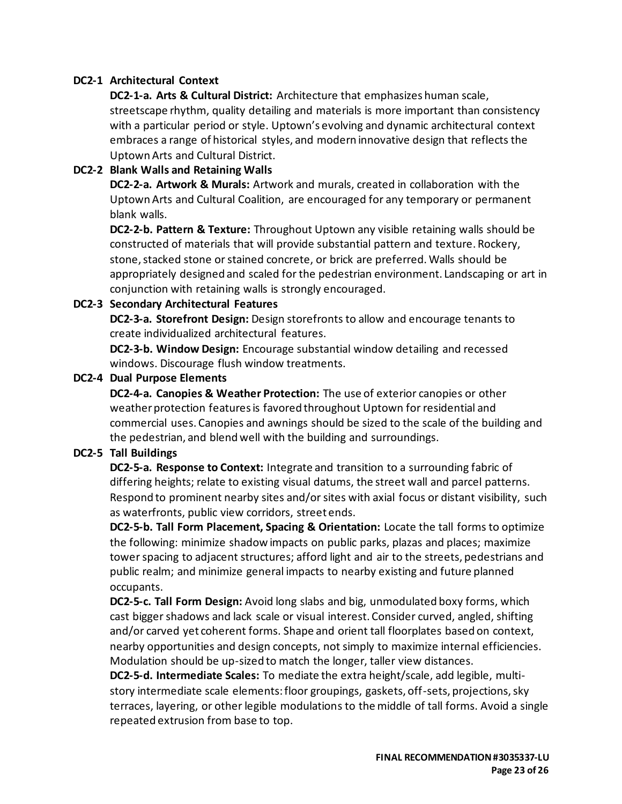## **DC2-1 Architectural Context**

**DC2-1-a. Arts & Cultural District:** Architecture that emphasizes human scale, streetscape rhythm, quality detailing and materials is more important than consistency with a particular period or style. Uptown's evolving and dynamic architectural context embraces a range of historical styles, and modern innovative design that reflects the Uptown Arts and Cultural District.

#### **DC2-2 Blank Walls and Retaining Walls**

**DC2-2-a. Artwork & Murals:** Artwork and murals, created in collaboration with the Uptown Arts and Cultural Coalition, are encouraged for any temporary or permanent blank walls.

**DC2-2-b. Pattern & Texture:** Throughout Uptown any visible retaining walls should be constructed of materials that will provide substantial pattern and texture. Rockery, stone, stacked stone or stained concrete, or brick are preferred. Walls should be appropriately designed and scaled for the pedestrian environment. Landscaping or art in conjunction with retaining walls is strongly encouraged.

#### **DC2-3 Secondary Architectural Features**

**DC2-3-a. Storefront Design:** Design storefronts to allow and encourage tenants to create individualized architectural features.

**DC2-3-b. Window Design:** Encourage substantial window detailing and recessed windows. Discourage flush window treatments.

#### **DC2-4 Dual Purpose Elements**

**DC2-4-a. Canopies & Weather Protection:** The use of exterior canopies or other weather protection features is favored throughout Uptown for residential and commercial uses. Canopies and awnings should be sized to the scale of the building and the pedestrian, and blend well with the building and surroundings.

## **DC2-5 Tall Buildings**

**DC2-5-a. Response to Context:** Integrate and transition to a surrounding fabric of differing heights; relate to existing visual datums, the street wall and parcel patterns. Respond to prominent nearby sites and/or sites with axial focus or distant visibility, such as waterfronts, public view corridors, street ends.

**DC2-5-b. Tall Form Placement, Spacing & Orientation:** Locate the tall forms to optimize the following: minimize shadow impacts on public parks, plazas and places; maximize tower spacing to adjacent structures; afford light and air to the streets, pedestrians and public realm; and minimize general impacts to nearby existing and future planned occupants.

**DC2-5-c. Tall Form Design:** Avoid long slabs and big, unmodulated boxy forms, which cast bigger shadows and lack scale or visual interest. Consider curved, angled, shifting and/or carved yet coherent forms. Shape and orient tall floorplates based on context, nearby opportunities and design concepts, not simply to maximize internal efficiencies. Modulation should be up-sized to match the longer, taller view distances.

**DC2-5-d. Intermediate Scales:** To mediate the extra height/scale, add legible, multistory intermediate scale elements: floor groupings, gaskets, off-sets, projections, sky terraces, layering, or other legible modulations to the middle of tall forms. Avoid a single repeated extrusion from base to top.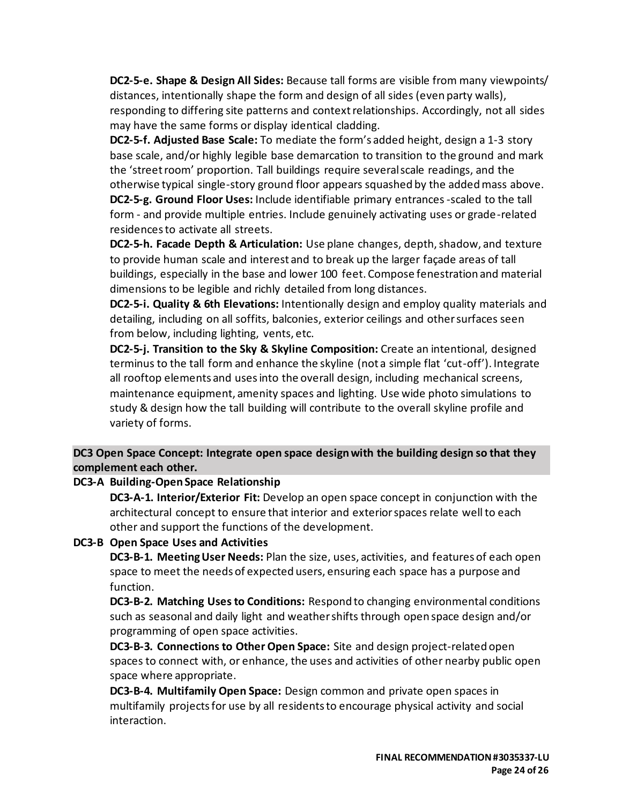**DC2-5-e. Shape & Design All Sides:** Because tall forms are visible from many viewpoints/ distances, intentionally shape the form and design of all sides (even party walls), responding to differing site patterns and context relationships. Accordingly, not all sides

may have the same forms or display identical cladding. **DC2-5-f. Adjusted Base Scale:** To mediate the form's added height, design a 1-3 story base scale, and/or highly legible base demarcation to transition to the ground and mark the 'street room' proportion. Tall buildings require several scale readings, and the otherwise typical single-story ground floor appears squashed by the added mass above.

**DC2-5-g. Ground Floor Uses:** Include identifiable primary entrances -scaled to the tall form - and provide multiple entries. Include genuinely activating uses or grade-related residences to activate all streets.

**DC2-5-h. Facade Depth & Articulation:** Use plane changes, depth, shadow, and texture to provide human scale and interest and to break up the larger façade areas of tall buildings, especially in the base and lower 100 feet. Compose fenestration and material dimensions to be legible and richly detailed from long distances.

**DC2-5-i. Quality & 6th Elevations:** Intentionally design and employ quality materials and detailing, including on all soffits, balconies, exterior ceilings and other surfaces seen from below, including lighting, vents, etc.

**DC2-5-j. Transition to the Sky & Skyline Composition:** Create an intentional, designed terminus to the tall form and enhance the skyline (not a simple flat 'cut-off'). Integrate all rooftop elements and uses into the overall design, including mechanical screens, maintenance equipment, amenity spaces and lighting. Use wide photo simulations to study & design how the tall building will contribute to the overall skyline profile and variety of forms.

# **DC3 Open Space Concept: Integrate open space design with the building design so that they complement each other.**

## **DC3-A Building-Open Space Relationship**

**DC3-A-1. Interior/Exterior Fit:** Develop an open space concept in conjunction with the architectural concept to ensure that interior and exterior spaces relate well to each other and support the functions of the development.

## **DC3-B Open Space Uses and Activities**

**DC3-B-1. Meeting User Needs:** Plan the size, uses, activities, and features of each open space to meet the needs of expected users, ensuring each space has a purpose and function.

**DC3-B-2. Matching Uses to Conditions:** Respond to changing environmental conditions such as seasonal and daily light and weather shifts through open space design and/or programming of open space activities.

**DC3-B-3. Connections to Other Open Space:** Site and design project-related open spaces to connect with, or enhance, the uses and activities of other nearby public open space where appropriate.

**DC3-B-4. Multifamily Open Space:** Design common and private open spaces in multifamily projects for use by all residents to encourage physical activity and social interaction.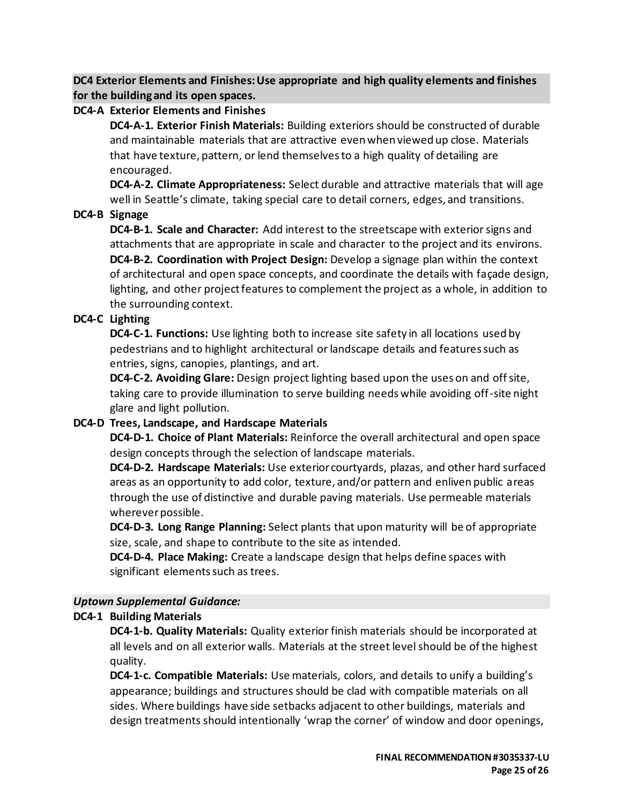**DC4 Exterior Elements and Finishes: Use appropriate and high quality elements and finishes for the building and its open spaces.**

# **DC4-A Exterior Elements and Finishes**

**DC4-A-1. Exterior Finish Materials:** Building exteriors should be constructed of durable and maintainable materials that are attractive even when viewed up close. Materials that have texture, pattern, or lend themselves to a high quality of detailing are encouraged.

**DC4-A-2. Climate Appropriateness:** Select durable and attractive materials that will age well in Seattle's climate, taking special care to detail corners, edges, and transitions.

# **DC4-B Signage**

**DC4-B-1. Scale and Character:** Add interest to the streetscape with exterior signs and attachments that are appropriate in scale and character to the project and its environs. **DC4-B-2. Coordination with Project Design:** Develop a signage plan within the context of architectural and open space concepts, and coordinate the details with façade design, lighting, and other project features to complement the project as a whole, in addition to the surrounding context.

# **DC4-C Lighting**

**DC4-C-1. Functions:** Use lighting both to increase site safety in all locations used by pedestrians and to highlight architectural or landscape details and features such as entries, signs, canopies, plantings, and art.

**DC4-C-2. Avoiding Glare:** Design project lighting based upon the uses on and off site, taking care to provide illumination to serve building needs while avoiding off-site night glare and light pollution.

# **DC4-D Trees, Landscape, and Hardscape Materials**

**DC4-D-1. Choice of Plant Materials:** Reinforce the overall architectural and open space design concepts through the selection of landscape materials.

**DC4-D-2. Hardscape Materials:** Use exterior courtyards, plazas, and other hard surfaced areas as an opportunity to add color, texture, and/or pattern and enliven public areas through the use of distinctive and durable paving materials. Use permeable materials wherever possible.

**DC4-D-3. Long Range Planning:** Select plants that upon maturity will be of appropriate size, scale, and shape to contribute to the site as intended.

**DC4-D-4. Place Making:** Create a landscape design that helps define spaces with significant elements such as trees.

# *Uptown Supplemental Guidance:*

# **DC4-1 Building Materials**

**DC4-1-b. Quality Materials:** Quality exterior finish materials should be incorporated at all levels and on all exterior walls. Materials at the street level should be of the highest quality.

**DC4-1-c. Compatible Materials:** Use materials, colors, and details to unify a building's appearance; buildings and structures should be clad with compatible materials on all sides. Where buildings have side setbacks adjacent to other buildings, materials and design treatments should intentionally 'wrap the corner' of window and door openings,